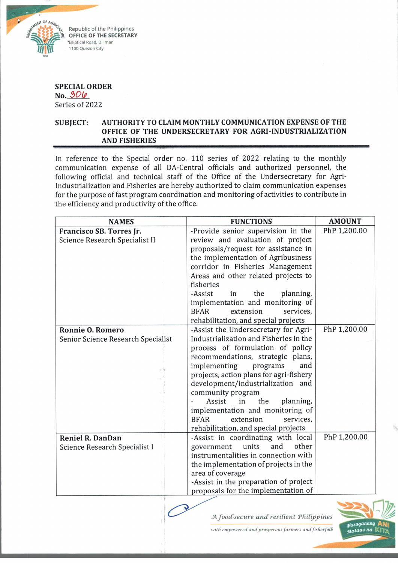

**SPECIAL ORDER No.** *3>OU>* Series of 2022

## **SUBJECT: AUTHORITY TO CLAIM MONTHLY COMMUNICATION EXPENSE OF THE OFFICE OF THE UNDERSECRETARY FOR AGRI-INDUSTRIALIZATION AND FISHERIES**

In reference to the Special order no. 110 series of 2022 relating to the monthly communication expense of all DA-Central officials and authorized personnel, the following official and technical staff of the Office of the Undersecretary for Agri-Industrialization and Fisheries are hereby authorized to claim communication expenses for the purpose of fast program coordination and monitoring of activities to contribute in the efficiency and productivity of the office.

| <b>NAMES</b>                       | <b>FUNCTIONS</b>                        | <b>AMOUNT</b> |
|------------------------------------|-----------------------------------------|---------------|
| Francisco SB. Torres Jr.           | -Provide senior supervision in the      | PhP 1,200.00  |
| Science Research Specialist II     | review and evaluation of project        |               |
|                                    | proposals/request for assistance in     |               |
|                                    | the implementation of Agribusiness      |               |
|                                    | corridor in Fisheries Management        |               |
|                                    | Areas and other related projects to     |               |
|                                    | fisheries                               |               |
|                                    | -Assist<br>planning,<br>the<br>in       |               |
|                                    | implementation and monitoring of        |               |
|                                    | extension<br><b>BFAR</b><br>services,   |               |
|                                    | rehabilitation, and special projects    |               |
| <b>Ronnie O. Romero</b>            | -Assist the Undersecretary for Agri-    | PhP 1,200.00  |
| Senior Science Research Specialist | Industrialization and Fisheries in the  |               |
|                                    | process of formulation of policy        |               |
|                                    | recommendations, strategic plans,       |               |
|                                    | implementing<br>programs<br>and         |               |
|                                    | projects, action plans for agri-fishery |               |
|                                    | development/industrialization and       |               |
|                                    | community program                       |               |
|                                    | Assist<br>in<br>the<br>planning,        |               |
|                                    | implementation and monitoring of        |               |
|                                    | extension<br>services,<br><b>BFAR</b>   |               |
|                                    | rehabilitation, and special projects    |               |
| <b>Reniel R. DanDan</b>            | -Assist in coordinating with local      | PhP 1,200.00  |
| Science Research Specialist I      | other<br>units<br>and<br>government     |               |
|                                    | instrumentalities in connection with    |               |
|                                    | the implementation of projects in the   |               |
|                                    | area of coverage                        |               |
|                                    | -Assist in the preparation of project   |               |
|                                    | proposals for the implementation of     |               |

*A food-secure and resilient Philippines* 



*with empowered andprosperous farmers andfisherfol'k*